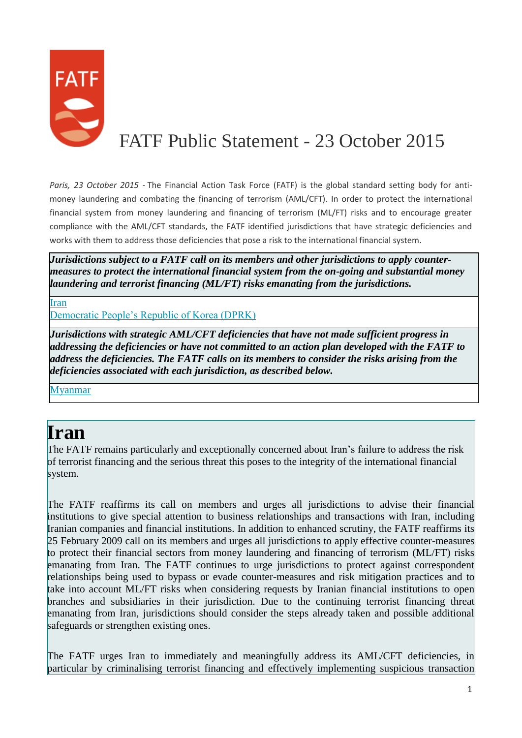

## FATF Public Statement - 23 October 2015

*Paris, 23 October 2015 -* The Financial Action Task Force (FATF) is the global standard setting body for antimoney laundering and combating the financing of terrorism (AML/CFT). In order to protect the international financial system from money laundering and financing of terrorism (ML/FT) risks and to encourage greater compliance with the AML/CFT standards, the FATF identified jurisdictions that have strategic deficiencies and works with them to address those deficiencies that pose a risk to the international financial system.

*Jurisdictions subject to a FATF call on its members and other jurisdictions to apply countermeasures to protect the international financial system from the on-going and substantial money laundering and terrorist financing (ML/FT) risks emanating from the jurisdictions.*

[Iran](http://www.fatf-gafi.org/publications/high-riskandnon-cooperativejurisdictions/documents/public-statement-october-2015.html#iran)

[Democratic People's Republic of Korea \(DPRK\)](http://www.fatf-gafi.org/publications/high-riskandnon-cooperativejurisdictions/documents/public-statement-october-2015.html#DPRK)

*Jurisdictions with strategic AML/CFT deficiencies that have not made sufficient progress in addressing the deficiencies or have not committed to an action plan developed with the FATF to address the deficiencies. The FATF calls on its members to consider the risks arising from the deficiencies associated with each jurisdiction, as described below.*

[Myanmar](http://www.fatf-gafi.org/publications/high-riskandnon-cooperativejurisdictions/documents/public-statement-october-2015.html#Myanmar)

## **Iran**

The FATF remains particularly and exceptionally concerned about Iran's failure to address the risk of terrorist financing and the serious threat this poses to the integrity of the international financial system.

The FATF reaffirms its call on members and urges all jurisdictions to advise their financial institutions to give special attention to business relationships and transactions with Iran, including Iranian companies and financial institutions. In addition to enhanced scrutiny, the FATF reaffirms its 25 February 2009 call on its members and urges all jurisdictions to apply effective counter-measures to protect their financial sectors from money laundering and financing of terrorism (ML/FT) risks emanating from Iran. The FATF continues to urge jurisdictions to protect against correspondent relationships being used to bypass or evade counter-measures and risk mitigation practices and to take into account ML/FT risks when considering requests by Iranian financial institutions to open branches and subsidiaries in their jurisdiction. Due to the continuing terrorist financing threat emanating from Iran, jurisdictions should consider the steps already taken and possible additional safeguards or strengthen existing ones.

The FATF urges Iran to immediately and meaningfully address its AML/CFT deficiencies, in particular by criminalising terrorist financing and effectively implementing suspicious transaction